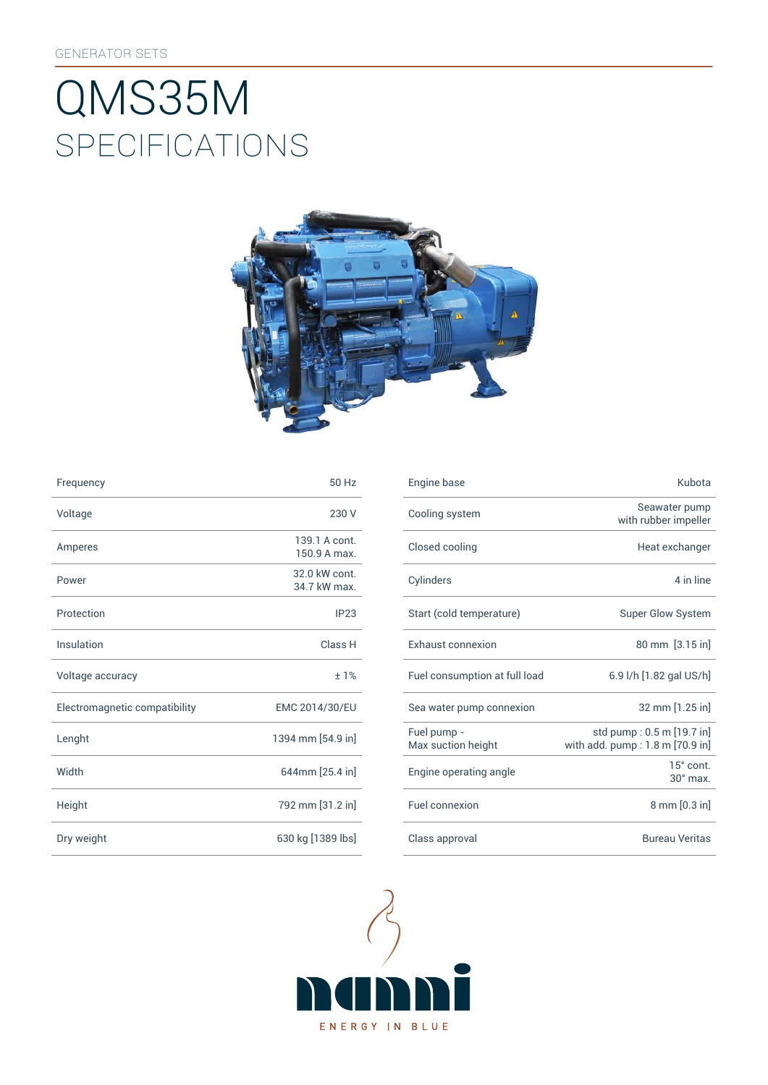# SpEcificATiONS QMS35M



| Frequency                     | 50 Hz                         | Engine base                |
|-------------------------------|-------------------------------|----------------------------|
| Voltage                       | 230 V                         | Cooling syst               |
| Amperes                       | 139.1 A cont.<br>150.9 A max. | Closed cooli               |
| Power                         | 32.0 kW cont.<br>34.7 kW max. | Cylinders                  |
| Protection                    | IP23                          | Start (cold te             |
| Insulation                    | Class H                       | Exhaust con                |
| Voltage accuracy              | ±1%                           | Fuel consum                |
| Electromagnetic compatibility | EMC 2014/30/EU                | Sea water pu               |
| Lenght                        | 1394 mm [54.9 in]             | Fuel pump -<br>Max suction |
| Width                         | 644mm [25.4 in]               | Engine opera               |
| Height                        | 792 mm [31.2 in]              | Fuel connexi               |
| Dry weight                    | 630 kg [1389 lbs]             | Class approv               |

| Frequency                     | 50 Hz                         | Engine base                       | Kubota                                                       |
|-------------------------------|-------------------------------|-----------------------------------|--------------------------------------------------------------|
| Voltage                       | 230 V                         | Cooling system                    | Seawater pump<br>with rubber impeller                        |
| Amperes                       | 139.1 A cont.<br>150.9 A max. | Closed cooling                    | Heat exchanger                                               |
| Power                         | 32.0 kW cont.<br>34.7 kW max. | Cylinders                         | 4 in line                                                    |
| Protection                    | IP23                          | Start (cold temperature)          | Super Glow System                                            |
| Insulation                    | Class H                       | Exhaust connexion                 | 80 mm [3.15 in]                                              |
| Voltage accuracy              | ±1%                           | Fuel consumption at full load     | 6.9 l/h [1.82 gal US/h]                                      |
| Electromagnetic compatibility | EMC 2014/30/EU                | Sea water pump connexion          | 32 mm [1.25 in]                                              |
| Lenght                        | 1394 mm [54.9 in]             | Fuel pump -<br>Max suction height | std pump: 0.5 m [19.7 in]<br>with add. pump: 1.8 m [70.9 in] |
| Width                         | 644mm [25.4 in]               | Engine operating angle            | 15° cont.<br>$30^\circ$ max.                                 |
| Height                        | 792 mm [31.2 in]              | Fuel connexion                    | 8 mm [0.3 in]                                                |
| Dry weight                    | 630 kg [1389 lbs]             | Class approval                    | <b>Bureau Veritas</b>                                        |